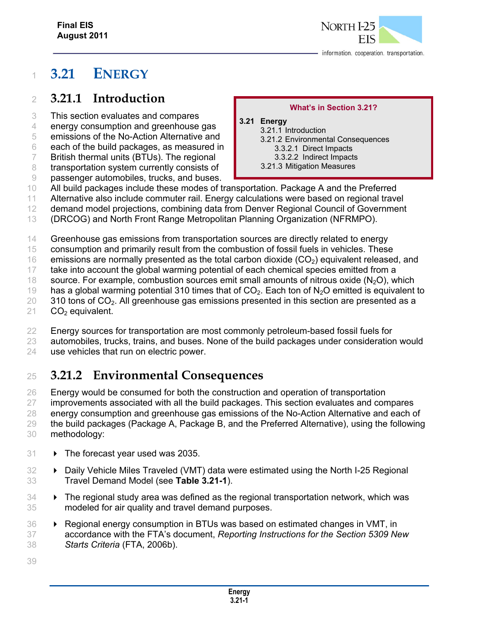# **3.21 ENERGY**

### **3.21.1 Introduction**

- This section evaluates and compares
- energy consumption and greenhouse gas
- emissions of the No-Action Alternative and
- each of the build packages, as measured in
- British thermal units (BTUs). The regional
- 8 transportation system currently consists of
- passenger automobiles, trucks, and buses.

#### **What's in Section 3.21?**

- **3.21 Energy**  3.21.1 Introduction 3.21.2 Environmental Consequences 3.3.2.1 Direct Impacts 3.3.2.2 Indirect Impacts 3.21.3 Mitigation Measures
- All build packages include these modes of transportation. Package A and the Preferred
- Alternative also include commuter rail. Energy calculations were based on regional travel
- demand model projections, combining data from Denver Regional Council of Government
- (DRCOG) and North Front Range Metropolitan Planning Organization (NFRMPO).
- Greenhouse gas emissions from transportation sources are directly related to energy
- consumption and primarily result from the combustion of fossil fuels in vehicles. These
- 16 emissions are normally presented as the total carbon dioxide  $(CO<sub>2</sub>)$  equivalent released, and
- take into account the global warming potential of each chemical species emitted from a
- 18 source. For example, combustion sources emit small amounts of nitrous oxide  $(N_2O)$ , which
- 19 has a global warming potential 310 times that of  $CO<sub>2</sub>$ . Each ton of N<sub>2</sub>O emitted is equivalent to 310 tons of  $CO<sub>2</sub>$ . All greenhouse gas emissions presented in this section are presented as a
- CO<sub>2</sub> equivalent.
- 22 Energy sources for transportation are most commonly petroleum-based fossil fuels for
- automobiles, trucks, trains, and buses. None of the build packages under consideration would
- use vehicles that run on electric power.

## **3.21.2 Environmental Consequences**

- Energy would be consumed for both the construction and operation of transportation improvements associated with all the build packages. This section evaluates and compares energy consumption and greenhouse gas emissions of the No-Action Alternative and each of the build packages (Package A, Package B, and the Preferred Alternative), using the following methodology:
- 31 > The forecast year used was 2035.
- **Daily Vehicle Miles Traveled (VMT) data were estimated using the North I-25 Regional** Travel Demand Model (see **Table 3.21-1**).
- 34 > The regional study area was defined as the regional transportation network, which was modeled for air quality and travel demand purposes.
- Regional energy consumption in BTUs was based on estimated changes in VMT, in accordance with the FTA's document, *Reporting Instructions for the Section 5309 New Starts Criteria* (FTA, 2006b).
-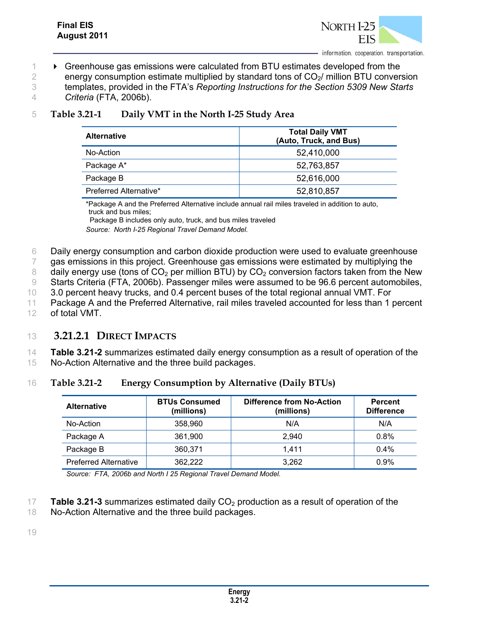

**• Greenhouse gas emissions were calculated from BTU estimates developed from the** 2 energy consumption estimate multiplied by standard tons of  $CO<sub>2</sub>/$  million BTU conversion templates, provided in the FTA's *Reporting Instructions for the Section 5309 New Starts Criteria* (FTA, 2006b).

| Table 3.21-1 | Daily VMT in the North I-25 Study Area |
|--------------|----------------------------------------|
|              |                                        |

| <b>Alternative</b>     | <b>Total Daily VMT</b><br>(Auto, Truck, and Bus) |  |
|------------------------|--------------------------------------------------|--|
| No-Action              | 52,410,000                                       |  |
| Package A*             | 52,763,857                                       |  |
| Package B              | 52,616,000                                       |  |
| Preferred Alternative* | 52,810,857                                       |  |

\*Package A and the Preferred Alternative include annual rail miles traveled in addition to auto, truck and bus miles;

 Package B includes only auto, truck, and bus miles traveled *Source: North I-25 Regional Travel Demand Model.*

6 Daily energy consumption and carbon dioxide production were used to evaluate greenhouse

7 gas emissions in this project. Greenhouse gas emissions were estimated by multiplying the

8 daily energy use (tons of  $CO<sub>2</sub>$  per million BTU) by  $CO<sub>2</sub>$  conversion factors taken from the New

9 Starts Criteria (FTA, 2006b). Passenger miles were assumed to be 96.6 percent automobiles,

10 3.0 percent heavy trucks, and 0.4 percent buses of the total regional annual VMT. For

11 Package A and the Preferred Alternative, rail miles traveled accounted for less than 1 percent 12 of total VMT.

#### 13 **3.21.2.1 DIRECT IMPACTS**

14 **Table 3.21-2** summarizes estimated daily energy consumption as a result of operation of the 15 No-Action Alternative and the three build packages.

16 **Table 3.21-2 Energy Consumption by Alternative (Daily BTUs)** 

| <b>Alternative</b>           | <b>BTUs Consumed</b><br>(millions) | <b>Difference from No-Action</b><br>(millions) | <b>Percent</b><br><b>Difference</b> |
|------------------------------|------------------------------------|------------------------------------------------|-------------------------------------|
| No-Action                    | 358,960                            | N/A                                            | N/A                                 |
| Package A                    | 361,900                            | 2.940                                          | 0.8%                                |
| Package B                    | 360.371                            | 1.411                                          | $0.4\%$                             |
| <b>Preferred Alternative</b> | 362.222                            | 3.262                                          | 0.9%                                |

*Source: FTA, 2006b and North I 25 Regional Travel Demand Model.*

- 17 **Table 3.21-3** summarizes estimated daily  $CO<sub>2</sub>$  production as a result of operation of the
- 18 No-Action Alternative and the three build packages.

19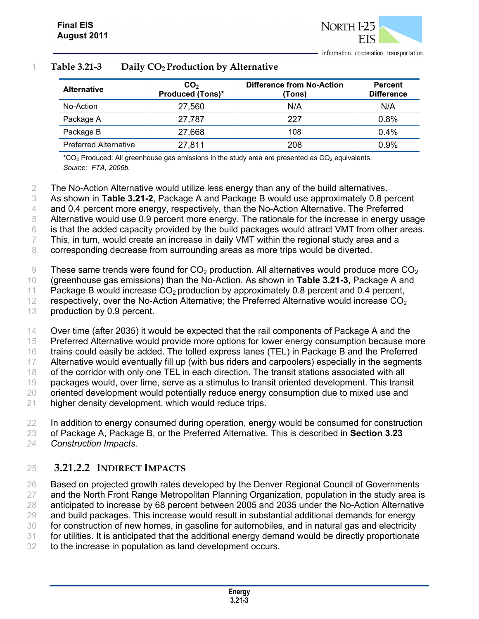

#### 1 **Table 3.21-3 Daily CO2 Production by Alternative**

| <b>Alternative</b>           | CO <sub>2</sub><br><b>Produced (Tons)*</b> | Difference from No-Action<br>(Tons) | <b>Percent</b><br><b>Difference</b> |
|------------------------------|--------------------------------------------|-------------------------------------|-------------------------------------|
| No-Action                    | 27,560                                     | N/A                                 | N/A                                 |
| Package A                    | 27,787                                     | 227                                 | 0.8%                                |
| Package B                    | 27,668                                     | 108                                 | 0.4%                                |
| <b>Preferred Alternative</b> | 27,811                                     | 208                                 | 0.9%                                |

 $*CO<sub>2</sub>$  Produced: All greenhouse gas emissions in the study area are presented as  $CO<sub>2</sub>$  equivalents. *Source: FTA, 2006b.* 

2 The No-Action Alternative would utilize less energy than any of the build alternatives.

3 As shown in **Table 3.21-2**, Package A and Package B would use approximately 0.8 percent

4 and 0.4 percent more energy, respectively, than the No-Action Alternative. The Preferred

5 Alternative would use 0.9 percent more energy. The rationale for the increase in energy usage

6 is that the added capacity provided by the build packages would attract VMT from other areas.

7 This, in turn, would create an increase in daily VMT within the regional study area and a

8 corresponding decrease from surrounding areas as more trips would be diverted.

9 These same trends were found for  $CO<sub>2</sub>$  production. All alternatives would produce more  $CO<sub>2</sub>$ 

10 (greenhouse gas emissions) than the No-Action. As shown in **Table 3.21-3**, Package A and

11 Package B would increase  $CO<sub>2</sub>$  production by approximately 0.8 percent and 0.4 percent,

12 respectively, over the No-Action Alternative; the Preferred Alternative would increase  $CO<sub>2</sub>$ 

13 production by 0.9 percent.

14 Over time (after 2035) it would be expected that the rail components of Package A and the

15 Preferred Alternative would provide more options for lower energy consumption because more

16 trains could easily be added. The tolled express lanes (TEL) in Package B and the Preferred

17 Alternative would eventually fill up (with bus riders and carpoolers) especially in the segments

18 of the corridor with only one TEL in each direction. The transit stations associated with all

19 packages would, over time, serve as a stimulus to transit oriented development. This transit

20 oriented development would potentially reduce energy consumption due to mixed use and

21 higher density development, which would reduce trips.

22 In addition to energy consumed during operation, energy would be consumed for construction

23 of Package A, Package B, or the Preferred Alternative. This is described in **Section 3.23**

24 *Construction Impacts*.

#### 25 **3.21.2.2 INDIRECT IMPACTS**

 Based on projected growth rates developed by the Denver Regional Council of Governments 27 and the North Front Range Metropolitan Planning Organization, population in the study area is anticipated to increase by 68 percent between 2005 and 2035 under the No-Action Alternative 29 and build packages. This increase would result in substantial additional demands for energy for construction of new homes, in gasoline for automobiles, and in natural gas and electricity for utilities. It is anticipated that the additional energy demand would be directly proportionate

32 to the increase in population as land development occurs.